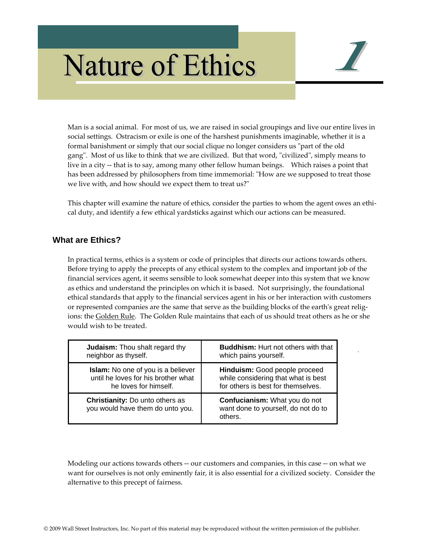# **Nature of Ethics**



Man is a social animal. For most of us, we are raised in social groupings and live our entire lives in social settings. Ostracism or exile is one of the harshest punishments imaginable, whether it is a formal banishment or simply that our social clique no longer considers us "part of the old gang". Most of us like to think that we are civilized. But that word, "civilized", simply means to live in a city -- that is to say, among many other fellow human beings. Which raises a point that has been addressed by philosophers from time immemorial: "How are we supposed to treat those we live with, and how should we expect them to treat us?"

This chapter will examine the nature of ethics, consider the parties to whom the agent owes an ethi‐ cal duty, and identify a few ethical yardsticks against which our actions can be measured.

## **What are Ethics?**

In practical terms, ethics is a system or code of principles that directs our actions towards others. Before trying to apply the precepts of any ethical system to the complex and important job of the financial services agent, it seems sensible to look somewhat deeper into this system that we know as ethics and understand the principles on which it is based. Not surprisingly, the foundational ethical standards that apply to the financial services agent in his or her interaction with customers or represented companies are the same that serve as the building blocks of the earth's great religions: the Golden Rule. The Golden Rule maintains that each of us should treat others as he or she would wish to be treated.

| <b>Judaism:</b> Thou shalt regard thy                                      | <b>Buddhism:</b> Hurt not others with that                                      |
|----------------------------------------------------------------------------|---------------------------------------------------------------------------------|
| neighbor as thyself.                                                       | which pains yourself.                                                           |
| Islam: No one of you is a believer                                         | Hinduism: Good people proceed                                                   |
| until he loves for his brother what                                        | while considering that what is best                                             |
| he loves for himself.                                                      | for others is best for themselves.                                              |
| <b>Christianity:</b> Do unto others as<br>you would have them do unto you. | Confucianism: What you do not<br>want done to yourself, do not do to<br>others. |

Modeling our actions towards others ‐‐ our customers and companies, in this case ‐‐ on what we want for ourselves is not only eminently fair, it is also essential for a civilized society. Consider the alternative to this precept of fairness.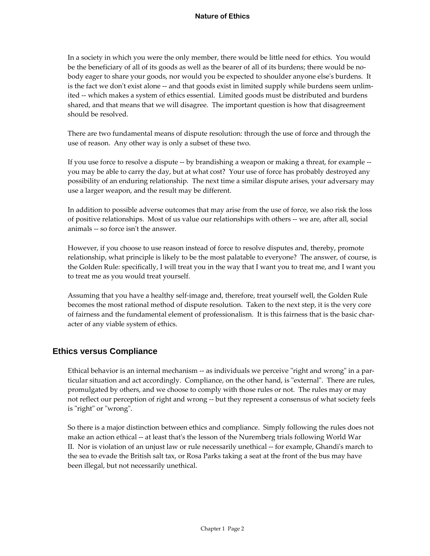In a society in which you were the only member, there would be little need for ethics. You would be the beneficiary of all of its goods as well as the bearer of all of its burdens; there would be nobody eager to share your goods, nor would you be expected to shoulder anyone else's burdens. It is the fact we don't exist alone -- and that goods exist in limited supply while burdens seem unlimited -- which makes a system of ethics essential. Limited goods must be distributed and burdens shared, and that means that we will disagree. The important question is how that disagreement should be resolved.

There are two fundamental means of dispute resolution: through the use of force and through the use of reason. Any other way is only a subset of these two.

If you use force to resolve a dispute ‐‐ by brandishing a weapon or making a threat, for example ‐‐ you may be able to carry the day, but at what cost? Your use of force has probably destroyed any possibility of an enduring relationship. The next time a similar dispute arises, your adversary may use a larger weapon, and the result may be different.

In addition to possible adverse outcomes that may arise from the use of force, we also risk the loss of positive relationships. Most of us value our relationships with others ‐‐ we are, after all, social animals ‐‐ so force isnʹt the answer.

However, if you choose to use reason instead of force to resolve disputes and, thereby, promote relationship, what principle is likely to be the most palatable to everyone? The answer, of course, is the Golden Rule: specifically, I will treat you in the way that I want you to treat me, and I want you to treat me as you would treat yourself.

Assuming that you have a healthy self‐image and, therefore, treat yourself well, the Golden Rule becomes the most rational method of dispute resolution. Taken to the next step, it is the very core of fairness and the fundamental element of professionalism. It is this fairness that is the basic char‐ acter of any viable system of ethics.

### **Ethics versus Compliance**

Ethical behavior is an internal mechanism -- as individuals we perceive "right and wrong" in a particular situation and act accordingly. Compliance, on the other hand, is "external". There are rules, promulgated by others, and we choose to comply with those rules or not. The rules may or may not reflect our perception of right and wrong -- but they represent a consensus of what society feels is "right" or "wrong".

So there is a major distinction between ethics and compliance. Simply following the rules does not make an action ethical -- at least that's the lesson of the Nuremberg trials following World War II. Nor is violation of an unjust law or rule necessarily unethical ‐‐ for example, Ghandiʹs march to the sea to evade the British salt tax, or Rosa Parks taking a seat at the front of the bus may have been illegal, but not necessarily unethical.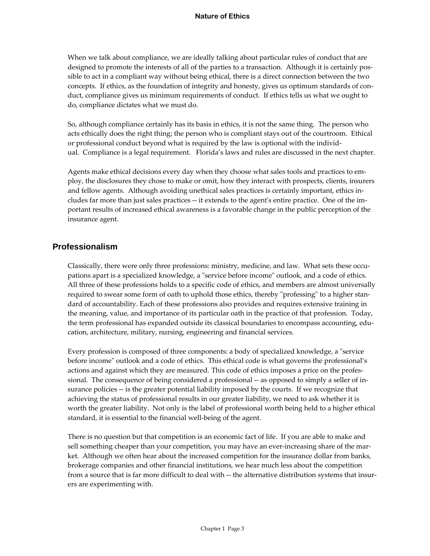When we talk about compliance, we are ideally talking about particular rules of conduct that are designed to promote the interests of all of the parties to a transaction. Although it is certainly possible to act in a compliant way without being ethical, there is a direct connection between the two concepts. If ethics, as the foundation of integrity and honesty, gives us optimum standards of conduct, compliance gives us minimum requirements of conduct. If ethics tells us what we ought to do, compliance dictates what we must do.

So, although compliance certainly has its basis in ethics, it is not the same thing. The person who acts ethically does the right thing; the person who is compliant stays out of the courtroom. Ethical or professional conduct beyond what is required by the law is optional with the individ‐ ual. Compliance is a legal requirement. Florida's laws and rules are discussed in the next chapter.

Agents make ethical decisions every day when they choose what sales tools and practices to em‐ ploy, the disclosures they chose to make or omit, how they interact with prospects, clients, insurers and fellow agents. Although avoiding unethical sales practices is certainly important, ethics in‐ cludes far more than just sales practices ‐‐ it extends to the agentʹs entire practice. One of the im‐ portant results of increased ethical awareness is a favorable change in the public perception of the insurance agent.

### **Professionalism**

Classically, there were only three professions: ministry, medicine, and law. What sets these occupations apart is a specialized knowledge, a "service before income" outlook, and a code of ethics. All three of these professions holds to a specific code of ethics, and members are almost universally required to swear some form of oath to uphold those ethics, thereby "professing" to a higher standard of accountability. Each of these professions also provides and requires extensive training in the meaning, value, and importance of its particular oath in the practice of that profession. Today, the term professional has expanded outside its classical boundaries to encompass accounting, edu‐ cation, architecture, military, nursing, engineering and financial services.

Every profession is composed of three components: a body of specialized knowledge, a "service" before income" outlook and a code of ethics. This ethical code is what governs the professional's actions and against which they are measured. This code of ethics imposes a price on the profes‐ sional. The consequence of being considered a professional -- as opposed to simply a seller of insurance policies -- is the greater potential liability imposed by the courts. If we recognize that achieving the status of professional results in our greater liability, we need to ask whether it is worth the greater liability. Not only is the label of professional worth being held to a higher ethical standard, it is essential to the financial well‐being of the agent.

There is no question but that competition is an economic fact of life. If you are able to make and sell something cheaper than your competition, you may have an ever-increasing share of the market. Although we often hear about the increased competition for the insurance dollar from banks, brokerage companies and other financial institutions, we hear much less about the competition from a source that is far more difficult to deal with -- the alternative distribution systems that insurers are experimenting with.